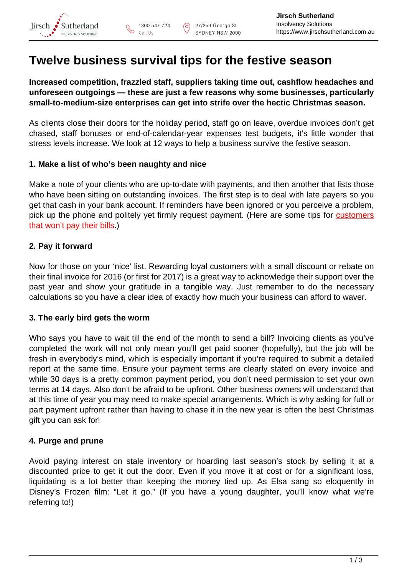# **Twelve business survival tips for the festive season**

ര

**Increased competition, frazzled staff, suppliers taking time out, cashflow headaches and unforeseen outgoings — these are just a few reasons why some businesses, particularly small-to-medium-size enterprises can get into strife over the hectic Christmas season.**

As clients close their doors for the holiday period, staff go on leave, overdue invoices don't get chased, staff bonuses or end-of-calendar-year expenses test budgets, it's little wonder that stress levels increase. We look at 12 ways to help a business survive the festive season.

## **1. Make a list of who's been naughty and nice**

Make a note of your clients who are up-to-date with payments, and then another that lists those who have been sitting on outstanding invoices. The first step is to deal with late payers so you get that cash in your bank account. If reminders have been ignored or you perceive a problem, pick up the phone and politely yet firmly request payment. (Here are some tips for [customers](http://www.businessnewsdaily.com/8246-non-paying-customers.html) [that won't pay their bills](http://www.businessnewsdaily.com/8246-non-paying-customers.html).)

# **2. Pay it forward**

Now for those on your 'nice' list. Rewarding loyal customers with a small discount or rebate on their final invoice for 2016 (or first for 2017) is a great way to acknowledge their support over the past year and show your gratitude in a tangible way. Just remember to do the necessary calculations so you have a clear idea of exactly how much your business can afford to waver.

#### **3. The early bird gets the worm**

Who says you have to wait till the end of the month to send a bill? Invoicing clients as you've completed the work will not only mean you'll get paid sooner (hopefully), but the job will be fresh in everybody's mind, which is especially important if you're required to submit a detailed report at the same time. Ensure your payment terms are clearly stated on every invoice and while 30 days is a pretty common payment period, you don't need permission to set your own terms at 14 days. Also don't be afraid to be upfront. Other business owners will understand that at this time of year you may need to make special arrangements. Which is why asking for full or part payment upfront rather than having to chase it in the new year is often the best Christmas gift you can ask for!

# **4. Purge and prune**

Avoid paying interest on stale inventory or hoarding last season's stock by selling it at a discounted price to get it out the door. Even if you move it at cost or for a significant loss, liquidating is a lot better than keeping the money tied up. As Elsa sang so eloquently in Disney's Frozen film: "Let it go." (If you have a young daughter, you'll know what we're referring to!)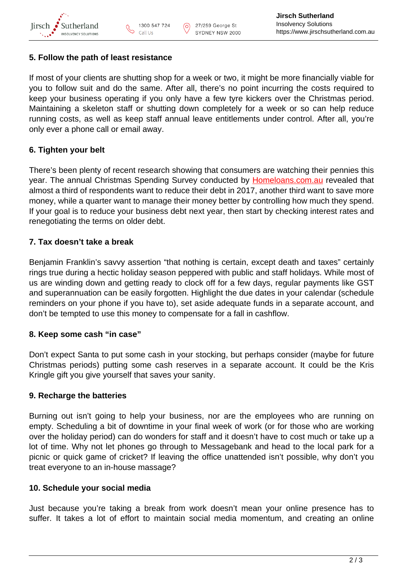

ര

### **5. Follow the path of least resistance**

If most of your clients are shutting shop for a week or two, it might be more financially viable for you to follow suit and do the same. After all, there's no point incurring the costs required to keep your business operating if you only have a few tyre kickers over the Christmas period. Maintaining a skeleton staff or shutting down completely for a week or so can help reduce running costs, as well as keep staff annual leave entitlements under control. After all, you're only ever a phone call or email away.

# **6. Tighten your belt**

There's been plenty of recent research showing that consumers are watching their pennies this year. The annual Christmas Spending Survey conducted by **Homeloans.com.au** revealed that almost a third of respondents want to reduce their debt in 2017, another third want to save more money, while a quarter want to manage their money better by controlling how much they spend. If your goal is to reduce your business debt next year, then start by checking interest rates and renegotiating the terms on older debt.

## **7. Tax doesn't take a break**

Benjamin Franklin's savvy assertion "that nothing is certain, except death and taxes" certainly rings true during a hectic holiday season peppered with public and staff holidays. While most of us are winding down and getting ready to clock off for a few days, regular payments like GST and superannuation can be easily forgotten. Highlight the due dates in your calendar (schedule reminders on your phone if you have to), set aside adequate funds in a separate account, and don't be tempted to use this money to compensate for a fall in cashflow.

# **8. Keep some cash "in case"**

Don't expect Santa to put some cash in your stocking, but perhaps consider (maybe for future Christmas periods) putting some cash reserves in a separate account. It could be the Kris Kringle gift you give yourself that saves your sanity.

#### **9. Recharge the batteries**

Burning out isn't going to help your business, nor are the employees who are running on empty. Scheduling a bit of downtime in your final week of work (or for those who are working over the holiday period) can do wonders for staff and it doesn't have to cost much or take up a lot of time. Why not let phones go through to Messagebank and head to the local park for a picnic or quick game of cricket? If leaving the office unattended isn't possible, why don't you treat everyone to an in-house massage?

#### **10. Schedule your social media**

Just because you're taking a break from work doesn't mean your online presence has to suffer. It takes a lot of effort to maintain social media momentum, and creating an online